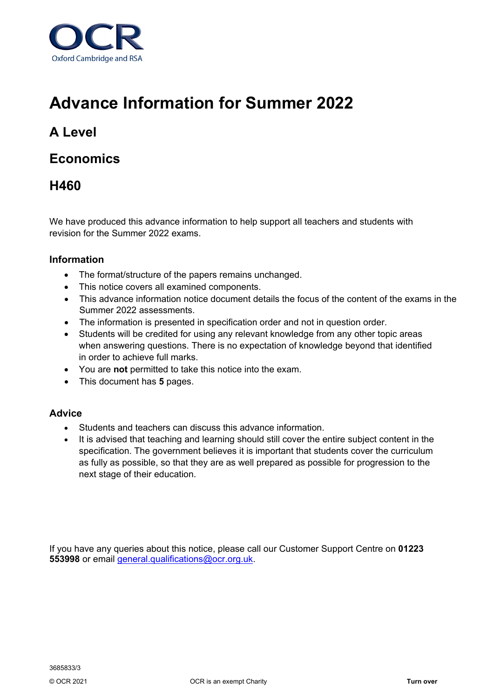

# **Advance Information for Summer 2022**

# **A Level**

# **Economics**

# **H460**

We have produced this advance information to help support all teachers and students with revision for the Summer 2022 exams.

# **Information**

- The format/structure of the papers remains unchanged.
- This notice covers all examined components.
- This advance information notice document details the focus of the content of the exams in the Summer 2022 assessments.
- The information is presented in specification order and not in question order.
- Students will be credited for using any relevant knowledge from any other topic areas when answering questions. There is no expectation of knowledge beyond that identified in order to achieve full marks.
- You are **not** permitted to take this notice into the exam.
- This document has **5** pages.

### **Advice**

- Students and teachers can discuss this advance information.
- It is advised that teaching and learning should still cover the entire subject content in the specification. The government believes it is important that students cover the curriculum as fully as possible, so that they are as well prepared as possible for progression to the next stage of their education.

If you have any queries about this notice, please call our Customer Support Centre on **01223 553998** or email [general.qualifications@ocr.org.uk.](mailto:general.qualifications@ocr.org.uk)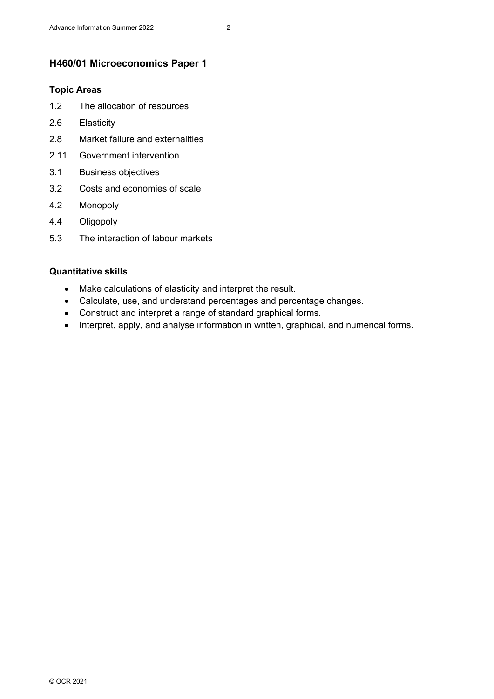# **H460/01 Microeconomics Paper 1**

#### **Topic Areas**

- 1.2 The allocation of resources
- 2.6 Elasticity
- 2.8 Market failure and externalities
- 2.11 Government intervention
- 3.1 Business objectives
- 3.2 Costs and economies of scale
- 4.2 Monopoly
- 4.4 Oligopoly
- 5.3 The interaction of labour markets

#### **Quantitative skills**

- Make calculations of elasticity and interpret the result.
- Calculate, use, and understand percentages and percentage changes.
- Construct and interpret a range of standard graphical forms.
- Interpret, apply, and analyse information in written, graphical, and numerical forms.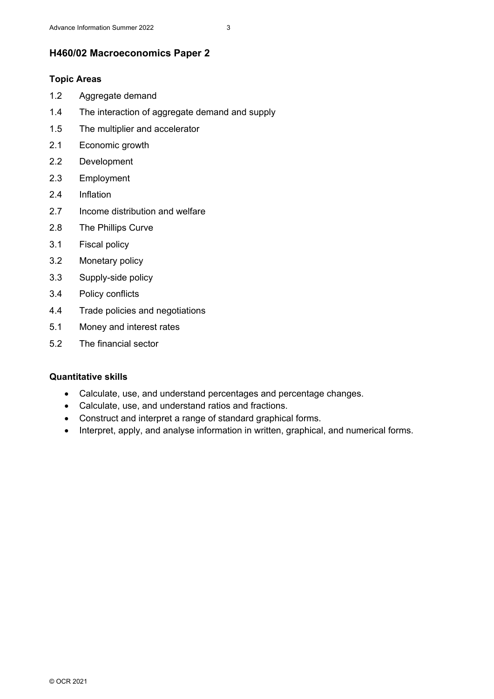### **H460/02 Macroeconomics Paper 2**

#### **Topic Areas**

- 1.2 Aggregate demand
- 1.4 The interaction of aggregate demand and supply
- 1.5 The multiplier and accelerator
- 2.1 Economic growth
- 2.2 Development
- 2.3 Employment
- 2.4 Inflation
- 2.7 Income distribution and welfare
- 2.8 The Phillips Curve
- 3.1 Fiscal policy
- 3.2 Monetary policy
- 3.3 Supply-side policy
- 3.4 Policy conflicts
- 4.4 Trade policies and negotiations
- 5.1 Money and interest rates
- 5.2 The financial sector

#### **Quantitative skills**

- Calculate, use, and understand percentages and percentage changes.
- Calculate, use, and understand ratios and fractions.
- Construct and interpret a range of standard graphical forms.
- Interpret, apply, and analyse information in written, graphical, and numerical forms.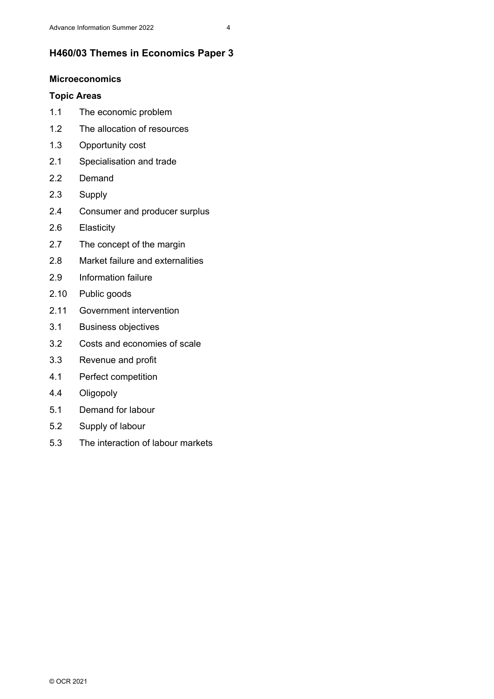# **H460/03 Themes in Economics Paper 3**

#### **Microeconomics**

### **Topic Areas**

- 1.1 The economic problem
- 1.2 The allocation of resources
- 1.3 Opportunity cost
- 2.1 Specialisation and trade
- 2.2 Demand
- 2.3 Supply
- 2.4 Consumer and producer surplus
- 2.6 Elasticity
- 2.7 The concept of the margin
- 2.8 Market failure and externalities
- 2.9 Information failure
- 2.10 Public goods
- 2.11 Government intervention
- 3.1 Business objectives
- 3.2 Costs and economies of scale
- 3.3 Revenue and profit
- 4.1 Perfect competition
- 4.4 Oligopoly
- 5.1 Demand for labour
- 5.2 Supply of labour
- 5.3 The interaction of labour markets